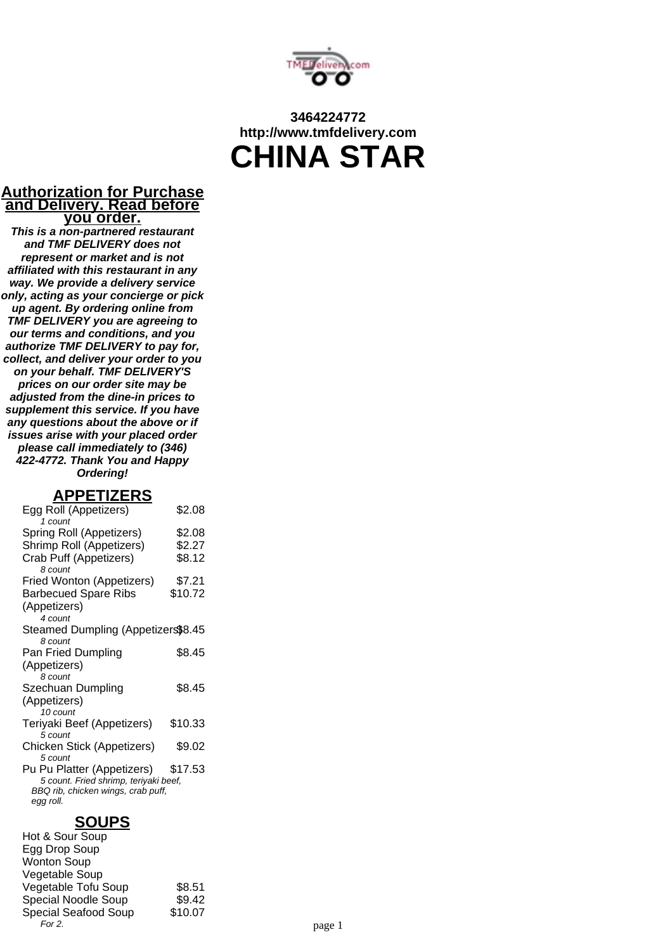

# **3464224772 http://www.tmfdelivery.com CHINA STAR**

#### **Authorization for Purchase and Delivery. Read before you order.**

**This is a non-partnered restaurant and TMF DELIVERY does not represent or market and is not affiliated with this restaurant in any way. We provide a delivery service only, acting as your concierge or pick up agent. By ordering online from TMF DELIVERY you are agreeing to our terms and conditions, and you authorize TMF DELIVERY to pay for, collect, and deliver your order to you on your behalf. TMF DELIVERY'S prices on our order site may be adjusted from the dine-in prices to supplement this service. If you have any questions about the above or if issues arise with your placed order please call immediately to (346) 422-4772. Thank You and Happy Ordering!**

#### **APPETIZERS**

| Egg Roll (Appetizers)<br>$1$ count              | \$2.08  |
|-------------------------------------------------|---------|
| Spring Roll (Appetizers)                        | \$2.08  |
| Shrimp Roll (Appetizers)                        | \$2.27  |
| Crab Puff (Appetizers)<br>8 count               | \$8.12  |
| Fried Wonton (Appetizers)                       | \$7.21  |
| <b>Barbecued Spare Ribs</b>                     | \$10.72 |
| (Appetizers)<br>4 count                         |         |
| Steamed Dumpling (Appetizers\$8.45<br>8 count   |         |
| Pan Fried Dumpling                              | \$8.45  |
| (Appetizers)                                    |         |
| 8 count                                         |         |
| Szechuan Dumpling                               | \$8.45  |
| (Appetizers)<br>10 count                        |         |
| Teriyaki Beef (Appetizers)<br>5 count           | \$10.33 |
| Chicken Stick (Appetizers)                      | \$9.02  |
| 5 count                                         |         |
| Pu Pu Platter (Appetizers)                      | \$17.53 |
| 5 count. Fried shrimp, teriyaki beef,           |         |
| BBQ rib, chicken wings, crab puff,<br>egg roll. |         |
|                                                 |         |

### **SOUPS**

Hot & Sour Soup Egg Drop Soup Wonton Soup Vegetable Soup Vegetable Tofu Soup \$8.51 Special Noodle Soup \$9.42 Special Seafood Soup \$10.07<br>For 2. For 2. page 1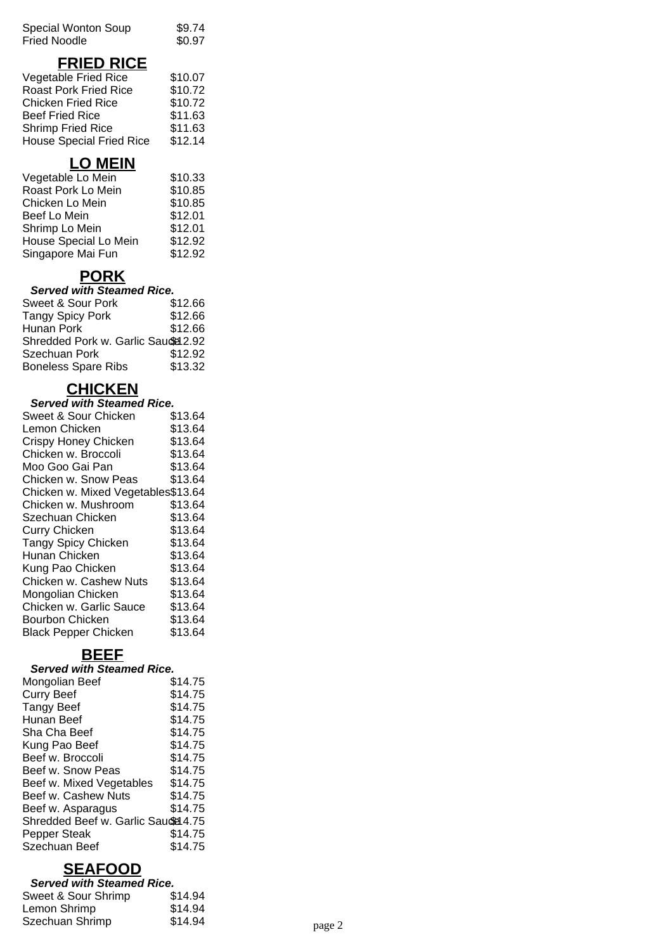| Special Wonton Soup | \$9.74 |
|---------------------|--------|
| Fried Noodle        | \$0.97 |

## **FRIED RICE**

| Vegetable Fried Rice            | \$10.07 |
|---------------------------------|---------|
| <b>Roast Pork Fried Rice</b>    | \$10.72 |
| <b>Chicken Fried Rice</b>       | \$10.72 |
| <b>Beef Fried Rice</b>          | \$11.63 |
| <b>Shrimp Fried Rice</b>        | \$11.63 |
| <b>House Special Fried Rice</b> | \$12.14 |

# **LO MEIN**

| Vegetable Lo Mein     | \$10.33 |
|-----------------------|---------|
| Roast Pork Lo Mein    | \$10.85 |
| Chicken Lo Mein       | \$10.85 |
| Beef Lo Mein          | \$12.01 |
| Shrimp Lo Mein        | \$12.01 |
| House Special Lo Mein | \$12.92 |
| Singapore Mai Fun     | \$12.92 |

## **PORK**

#### **Served with Steamed Rice.**

| Sweet & Sour Pork                   | \$12.66 |
|-------------------------------------|---------|
| <b>Tangy Spicy Pork</b>             | \$12.66 |
| Hunan Pork                          | \$12.66 |
| Shredded Pork w. Garlic Saudel 2.92 |         |
| Szechuan Pork                       | \$12.92 |
| <b>Boneless Spare Ribs</b>          | \$13.32 |

## **CHICKEN**

| <b>Served with Steamed Rice.</b>   |         |  |
|------------------------------------|---------|--|
| Sweet & Sour Chicken               | \$13.64 |  |
| Lemon Chicken                      | \$13.64 |  |
| Crispy Honey Chicken               | \$13.64 |  |
| Chicken w. Broccoli                | \$13.64 |  |
| Moo Goo Gai Pan                    | \$13.64 |  |
| Chicken w. Snow Peas               | \$13.64 |  |
| Chicken w. Mixed Vegetables\$13.64 |         |  |
| Chicken w. Mushroom                | \$13.64 |  |
| Szechuan Chicken                   | \$13.64 |  |
| <b>Curry Chicken</b>               | \$13.64 |  |
| <b>Tangy Spicy Chicken</b>         | \$13.64 |  |
| Hunan Chicken                      | \$13.64 |  |
| Kung Pao Chicken                   | \$13.64 |  |
| Chicken w. Cashew Nuts             | \$13.64 |  |
| Mongolian Chicken                  | \$13.64 |  |
| Chicken w. Garlic Sauce            | \$13.64 |  |
| Bourbon Chicken                    | \$13.64 |  |
| <b>Black Pepper Chicken</b>        | \$13.64 |  |

# **BEEF**

#### **Served with Steamed Rice.**

| Mongolian Beef                     | \$14.75 |
|------------------------------------|---------|
| <b>Curry Beef</b>                  | \$14.75 |
| <b>Tangy Beef</b>                  | \$14.75 |
| Hunan Beef                         | \$14.75 |
| Sha Cha Beef                       | \$14.75 |
| Kung Pao Beef                      | \$14.75 |
| Beef w. Broccoli                   | \$14.75 |
| Beef w. Snow Peas                  | \$14.75 |
| Beef w. Mixed Vegetables           | \$14.75 |
| Beef w. Cashew Nuts                | \$14.75 |
| Beef w. Asparagus                  | \$14.75 |
| Shredded Beef w. Garlic Saude 4.75 |         |
| Pepper Steak                       | \$14.75 |
| Szechuan Beef                      | \$14.75 |

### **SEAFOOD**

| <b>Served with Steamed Rice.</b> |         |        |
|----------------------------------|---------|--------|
| Sweet & Sour Shrimp              | \$14.94 |        |
| Lemon Shrimp                     | \$14.94 |        |
| Szechuan Shrimp                  | \$14.94 | page 2 |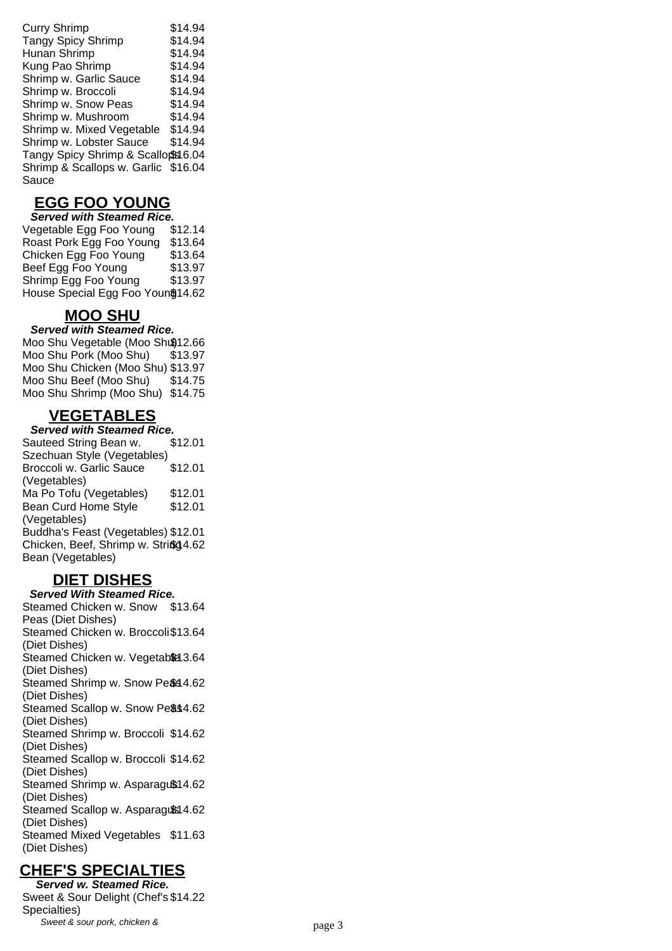| <b>Curry Shrimp</b>                | \$14.94 |
|------------------------------------|---------|
| <b>Tangy Spicy Shrimp</b>          | \$14.94 |
| Hunan Shrimp                       | \$14.94 |
| Kung Pao Shrimp                    | \$14.94 |
| Shrimp w. Garlic Sauce             | \$14.94 |
| Shrimp w. Broccoli                 | \$14.94 |
| Shrimp w. Snow Peas                | \$14.94 |
| Shrimp w. Mushroom                 | \$14.94 |
| Shrimp w. Mixed Vegetable          | \$14.94 |
| Shrimp w. Lobster Sauce            | \$14.94 |
| Tangy Spicy Shrimp & Scallops 6.04 |         |
| Shrimp & Scallops w. Garlic        | \$16.04 |
| Sauce                              |         |

## **EGG FOO YOUNG**

**Served with Steamed Rice.** Vegetable Egg Foo Young \$12.14 Roast Pork Egg Foo Young \$13.64 Chicken Egg Foo Young \$13.64 Beef Egg Foo Young \$13.97 Shrimp Egg Foo Young \$13.97 House Special Egg Foo Youn \$14.62

## **MOO SHU**

#### **Served with Steamed Rice.**

Moo Shu Vegetable (Moo Shu012.66 Moo Shu Pork (Moo Shu) \$13.97 Moo Shu Chicken (Moo Shu) \$13.97 Moo Shu Beef (Moo Shu) \$14.75 Moo Shu Shrimp (Moo Shu) \$14.75

# **VEGETABLES**

**Served with Steamed Rice.** Sauteed String Bean w. Szechuan Style (Vegetables) \$12.01 Broccoli w. Garlic Sauce (Vegetables) \$12.01 Ma Po Tofu (Vegetables) \$12.01 Bean Curd Home Style (Vegetables) \$12.01 Buddha's Feast (Vegetables) \$12.01 Chicken, Beef, Shrimp w. String4.62 Bean (Vegetables)

# **DIET DISHES**

**Served With Steamed Rice.** Steamed Chicken w. Snow \$13.64 Peas (Diet Dishes) Steamed Chicken w. Broccoli \$13.64 (Diet Dishes) Steamed Chicken w. Vegetable 3.64 (Diet Dishes) Steamed Shrimp w. Snow Pe&44.62 (Diet Dishes) Steamed Scallop w. Snow Pe\$\$4.62 (Diet Dishes) Steamed Shrimp w. Broccoli \$14.62 (Diet Dishes) Steamed Scallop w. Broccoli \$14.62 (Diet Dishes) Steamed Shrimp w. Asparagu\$14.62 (Diet Dishes) Steamed Scallop w. Asparaguß 4.62 (Diet Dishes) Steamed Mixed Vegetables \$11.63 (Diet Dishes)

## **CHEF'S SPECIALTIES**

**Served w. Steamed Rice.** Sweet & Sour Delight (Chef's \$14.22 Specialties) Sweet & sour pork, chicken & page 3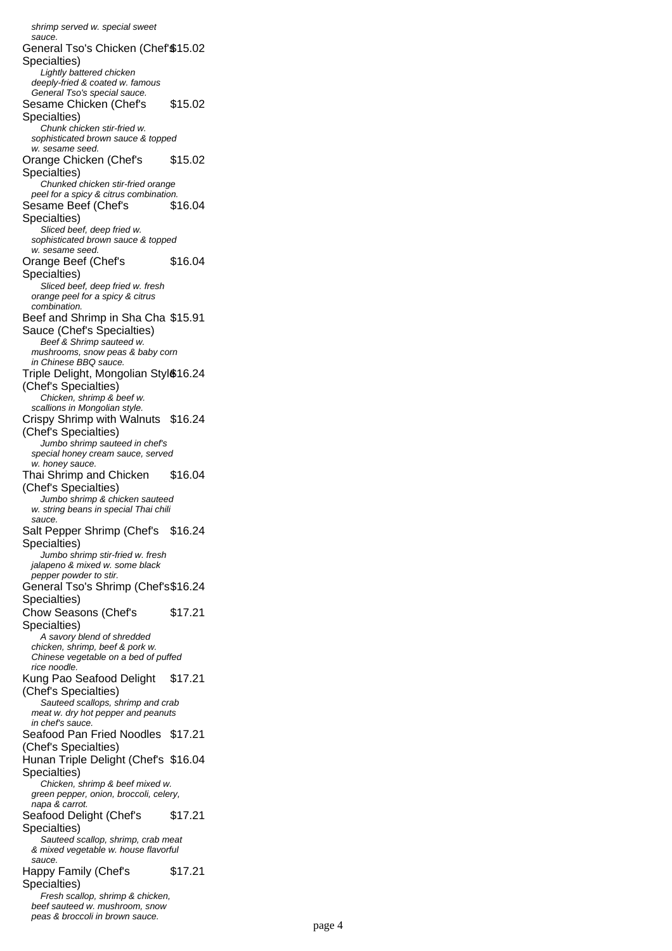shrimp served w. special sweet sauce. General Tso's Chicken (Chef'\$15.02 Specialties) Lightly battered chicken deeply-fried & coated w. famous General Tso's special sauce. Sesame Chicken (Chef's Specialties) \$15.02 Chunk chicken stir-fried w. sophisticated brown sauce & topped w. sesame seed. Orange Chicken (Chef's Specialties) \$15.02 Chunked chicken stir-fried orange peel for a spicy & citrus combination. Sesame Beef (Chef's Specialties) \$16.04 Sliced beef, deep fried w. sophisticated brown sauce & topped w. sesame seed. Orange Beef (Chef's Specialties) \$16.04 Sliced beef, deep fried w. fresh orange peel for a spicy & citrus combination. Beef and Shrimp in Sha Cha \$15.91 Sauce (Chef's Specialties) Beef & Shrimp sauteed w. mushrooms, snow peas & baby corn in Chinese BBQ sauce. Triple Delight, Mongolian Styl§16.24 (Chef's Specialties) Chicken, shrimp & beef w. scallions in Mongolian style. Crispy Shrimp with Walnuts \$16.24 (Chef's Specialties) Jumbo shrimp sauteed in chef's special honey cream sauce, served w. honey sauce. Thai Shrimp and Chicken (Chef's Specialties) \$16.04 Jumbo shrimp & chicken sauteed w. string beans in special Thai chili sauce. Salt Pepper Shrimp (Chef's \$16.24 Specialties) Jumbo shrimp stir-fried w. fresh jalapeno & mixed w. some black pepper powder to stir. General Tso's Shrimp (Chef's \$16.24 Specialties) Chow Seasons (Chef's Specialties) \$17.21 A savory blend of shredded chicken, shrimp, beef & pork w. Chinese vegetable on a bed of puffed rice noodle. Kung Pao Seafood Delight \$17.21 (Chef's Specialties) Sauteed scallops, shrimp and crab meat w. dry hot pepper and peanuts in chef's sauce. Seafood Pan Fried Noodles \$17.21 (Chef's Specialties) Hunan Triple Delight (Chef's \$16.04 Specialties) Chicken, shrimp & beef mixed w. green pepper, onion, broccoli, celery, napa & carrot. Seafood Delight (Chef's Specialties) \$17.21 Sauteed scallop, shrimp, crab meat & mixed vegetable w. house flavorful sauce. Happy Family (Chef's Specialties) \$17.21 Fresh scallop, shrimp & chicken, beef sauteed w. mushroom, snow peas & broccoli in brown sauce.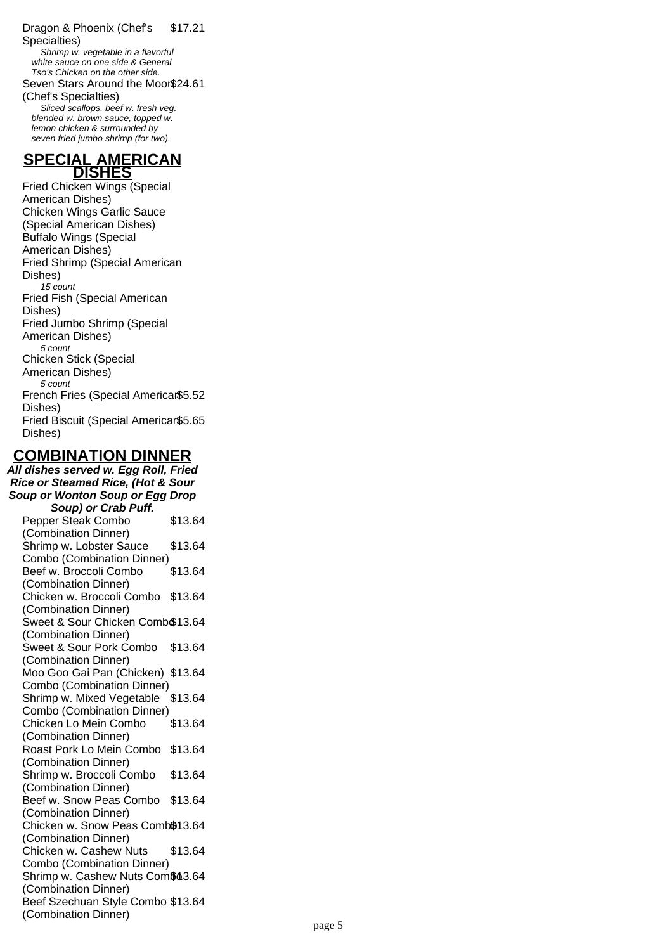Dragon & Phoenix (Chef's Specialties) \$17.21 Shrimp w. vegetable in a flavorful white sauce on one side & General Tso's Chicken on the other side. Seven Stars Around the Moon \$24.61 (Chef's Specialties) Sliced scallops, beef w. fresh veg. blended w. brown sauce, topped w. lemon chicken & surrounded by seven fried jumbo shrimp (for two).

#### **SPECIAL AMERICAN DISHES**

Fried Chicken Wings (Special American Dishes) Chicken Wings Garlic Sauce (Special American Dishes) Buffalo Wings (Special American Dishes) Fried Shrimp (Special American Dishes) 15 count Fried Fish (Special American Dishes) Fried Jumbo Shrimp (Special American Dishes) 5 count Chicken Stick (Special American Dishes) 5 count French Fries (Special American \$5.52 Dishes) Fried Biscuit (Special American \$5.65 Dishes)

## **COMBINATION DINNER**

**All dishes served w. Egg Roll, Fried Rice or Steamed Rice, (Hot & Sour Soup or Wonton Soup or Egg Drop Soup) or Crab Puff.** Pepper Steak Combo (Combination Dinner) \$13.64 Shrimp w. Lobster Sauce Combo (Combination Dinner) \$13.64 Beef w. Broccoli Combo (Combination Dinner) \$13.64 Chicken w. Broccoli Combo \$13.64 (Combination Dinner) Sweet & Sour Chicken Comb \$13.64 (Combination Dinner) Sweet & Sour Pork Combo \$13.64 (Combination Dinner) Moo Goo Gai Pan (Chicken) \$13.64 Combo (Combination Dinner) Shrimp w. Mixed Vegetable \$13.64 Combo (Combination Dinner) Chicken Lo Mein Combo (Combination Dinner) \$13.64 Roast Pork Lo Mein Combo \$13.64 (Combination Dinner) Shrimp w. Broccoli Combo (Combination Dinner) \$13.64 Beef w. Snow Peas Combo \$13.64 (Combination Dinner) Chicken w. Snow Peas Comb®13.64 (Combination Dinner) Chicken w. Cashew Nuts Combo (Combination Dinner) \$13.64 Shrimp w. Cashew Nuts Com\$63.64 (Combination Dinner) Beef Szechuan Style Combo \$13.64 (Combination Dinner)